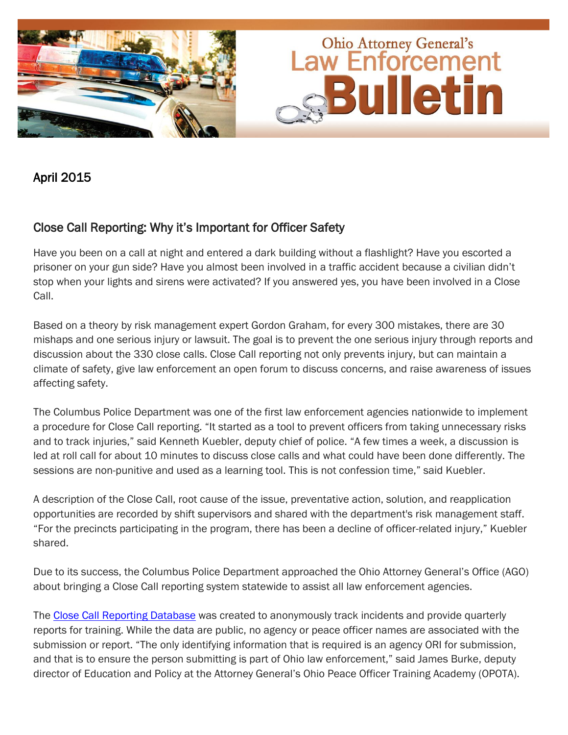

## April 2015

# Close Call Reporting: Why it's Important for Officer Safety

Have you been on a call at night and entered a dark building without a flashlight? Have you escorted a prisoner on your gun side? Have you almost been involved in a traffic accident because a civilian didn't stop when your lights and sirens were activated? If you answered yes, you have been involved in a Close Call.

Based on a theory by risk management expert Gordon Graham, for every 300 mistakes, there are 30 mishaps and one serious injury or lawsuit. The goal is to prevent the one serious injury through reports and discussion about the 330 close calls. Close Call reporting not only prevents injury, but can maintain a climate of safety, give law enforcement an open forum to discuss concerns, and raise awareness of issues affecting safety.

The Columbus Police Department was one of the first law enforcement agencies nationwide to implement a procedure for Close Call reporting. "It started as a tool to prevent officers from taking unnecessary risks and to track injuries," said Kenneth Kuebler, deputy chief of police. "A few times a week, a discussion is led at roll call for about 10 minutes to discuss close calls and what could have been done differently. The sessions are non-punitive and used as a learning tool. This is not confession time," said Kuebler.

A description of the Close Call, root cause of the issue, preventative action, solution, and reapplication opportunities are recorded by shift supervisors and shared with the department's risk management staff. ―For the precincts participating in the program, there has been a decline of officer-related injury,‖ Kuebler shared.

Due to its success, the Columbus Police Department approached the Ohio Attorney General's Office (AGO) about bringing a Close Call reporting system statewide to assist all law enforcement agencies.

The [Close Call Reporting Database](http://www.ohioattorneygeneral.gov/Law-Enforcement/Ohio-Peace-Officer-Training-Academy/Close-Call-Reporting-Database) was created to anonymously track incidents and provide quarterly reports for training. While the data are public, no agency or peace officer names are associated with the submission or report. "The only identifying information that is required is an agency ORI for submission, and that is to ensure the person submitting is part of Ohio law enforcement," said James Burke, deputy director of Education and Policy at the Attorney General's Ohio Peace Officer Training Academy (OPOTA).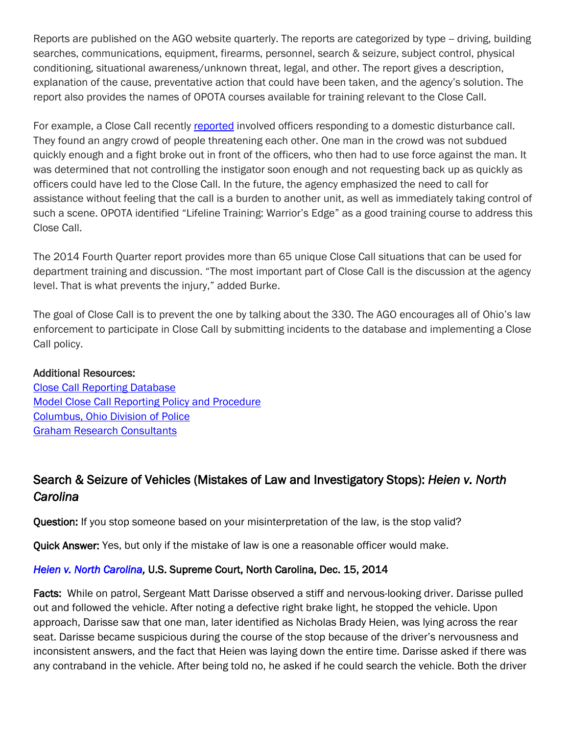Reports are published on the AGO website quarterly. The reports are categorized by type -- driving, building searches, communications, equipment, firearms, personnel, search & seizure, subject control, physical conditioning, situational awareness/unknown threat, legal, and other. The report gives a description, explanation of the cause, preventative action that could have been taken, and the agency's solution. The report also provides the names of OPOTA courses available for training relevant to the Close Call.

For example, a Close Call recently [reported](http://www.ohioattorneygeneral.gov/Files/Law-Enforcement/Ohio-Peace-Officer-Training-Academy/Close-Call-Reporting-Database/Close-Calls-Report-Quarter-4-2014.aspx) involved officers responding to a domestic disturbance call. They found an angry crowd of people threatening each other. One man in the crowd was not subdued quickly enough and a fight broke out in front of the officers, who then had to use force against the man. It was determined that not controlling the instigator soon enough and not requesting back up as quickly as officers could have led to the Close Call. In the future, the agency emphasized the need to call for assistance without feeling that the call is a burden to another unit, as well as immediately taking control of such a scene. OPOTA identified "Lifeline Training: Warrior's Edge" as a good training course to address this Close Call.

The 2014 Fourth Quarter report provides more than 65 unique Close Call situations that can be used for department training and discussion. "The most important part of Close Call is the discussion at the agency level. That is what prevents the injury," added Burke.

The goal of Close Call is to prevent the one by talking about the 330. The AGO encourages all of Ohio's law enforcement to participate in Close Call by submitting incidents to the database and implementing a Close Call policy.

#### Additional Resources:

[Close Call Reporting Database](http://www.ohioattorneygeneral.gov/Law-Enforcement/Ohio-Peace-Officer-Training-Academy/Close-Call-Reporting-Database) [Model Close Call Reporting Policy and Procedure](http://www.ohioattorneygeneral.gov/Files/Law-Enforcement/Ohio-Peace-Officer-Training-Academy/Close-Call-Reporting-Database/sample-close-call-policy.aspx) [Columbus, Ohio Division of Police](http://www.columbuspolice.org/) [Graham Research Consultants](http://www.gordongraham.com/)

# Search & Seizure of Vehicles (Mistakes of Law and Investigatory Stops): *Heien v. North Carolina*

Question: If you stop someone based on your misinterpretation of the law, is the stop valid?

Quick Answer: Yes, but only if the mistake of law is one a reasonable officer would make.

### *[Heien v. North Carolina,](http://www.supremecourt.gov/opinions/14pdf/13-604_ec8f.pdf)* U.S. Supreme Court, North Carolina, Dec. 15, 2014

Facts: While on patrol, Sergeant Matt Darisse observed a stiff and nervous-looking driver. Darisse pulled out and followed the vehicle. After noting a defective right brake light, he stopped the vehicle. Upon approach, Darisse saw that one man, later identified as Nicholas Brady Heien, was lying across the rear seat. Darisse became suspicious during the course of the stop because of the driver's nervousness and inconsistent answers, and the fact that Heien was laying down the entire time. Darisse asked if there was any contraband in the vehicle. After being told no, he asked if he could search the vehicle. Both the driver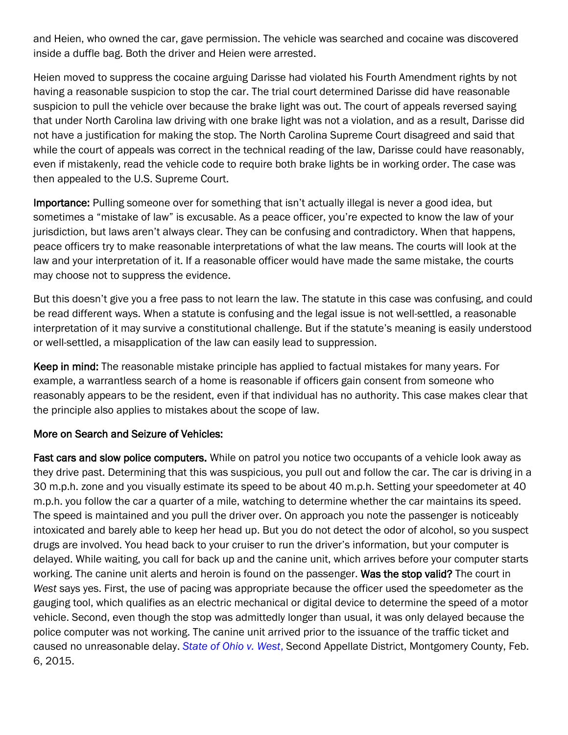and Heien, who owned the car, gave permission. The vehicle was searched and cocaine was discovered inside a duffle bag. Both the driver and Heien were arrested.

Heien moved to suppress the cocaine arguing Darisse had violated his Fourth Amendment rights by not having a reasonable suspicion to stop the car. The trial court determined Darisse did have reasonable suspicion to pull the vehicle over because the brake light was out. The court of appeals reversed saying that under North Carolina law driving with one brake light was not a violation, and as a result, Darisse did not have a justification for making the stop. The North Carolina Supreme Court disagreed and said that while the court of appeals was correct in the technical reading of the law, Darisse could have reasonably, even if mistakenly, read the vehicle code to require both brake lights be in working order. The case was then appealed to the U.S. Supreme Court.

Importance: Pulling someone over for something that isn't actually illegal is never a good idea, but sometimes a "mistake of law" is excusable. As a peace officer, you're expected to know the law of your jurisdiction, but laws aren't always clear. They can be confusing and contradictory. When that happens, peace officers try to make reasonable interpretations of what the law means. The courts will look at the law and your interpretation of it. If a reasonable officer would have made the same mistake, the courts may choose not to suppress the evidence.

But this doesn't give you a free pass to not learn the law. The statute in this case was confusing, and could be read different ways. When a statute is confusing and the legal issue is not well-settled, a reasonable interpretation of it may survive a constitutional challenge. But if the statute's meaning is easily understood or well-settled, a misapplication of the law can easily lead to suppression.

Keep in mind: The reasonable mistake principle has applied to factual mistakes for many years. For example, a warrantless search of a home is reasonable if officers gain consent from someone who reasonably appears to be the resident, even if that individual has no authority. This case makes clear that the principle also applies to mistakes about the scope of law.

#### More on Search and Seizure of Vehicles:

Fast cars and slow police computers. While on patrol you notice two occupants of a vehicle look away as they drive past. Determining that this was suspicious, you pull out and follow the car. The car is driving in a 30 m.p.h. zone and you visually estimate its speed to be about 40 m.p.h. Setting your speedometer at 40 m.p.h. you follow the car a quarter of a mile, watching to determine whether the car maintains its speed. The speed is maintained and you pull the driver over. On approach you note the passenger is noticeably intoxicated and barely able to keep her head up. But you do not detect the odor of alcohol, so you suspect drugs are involved. You head back to your cruiser to run the driver's information, but your computer is delayed. While waiting, you call for back up and the canine unit, which arrives before your computer starts working. The canine unit alerts and heroin is found on the passenger. Was the stop valid? The court in *West* says yes. First, the use of pacing was appropriate because the officer used the speedometer as the gauging tool, which qualifies as an electric mechanical or digital device to determine the speed of a motor vehicle. Second, even though the stop was admittedly longer than usual, it was only delayed because the police computer was not working. The canine unit arrived prior to the issuance of the traffic ticket and caused no unreasonable delay. *[State of Ohio v. West](http://www.supremecourt.ohio.gov/rod/docs/pdf/2/2015/2015-Ohio-442.pdf)*, Second Appellate District, Montgomery County, Feb. 6, 2015.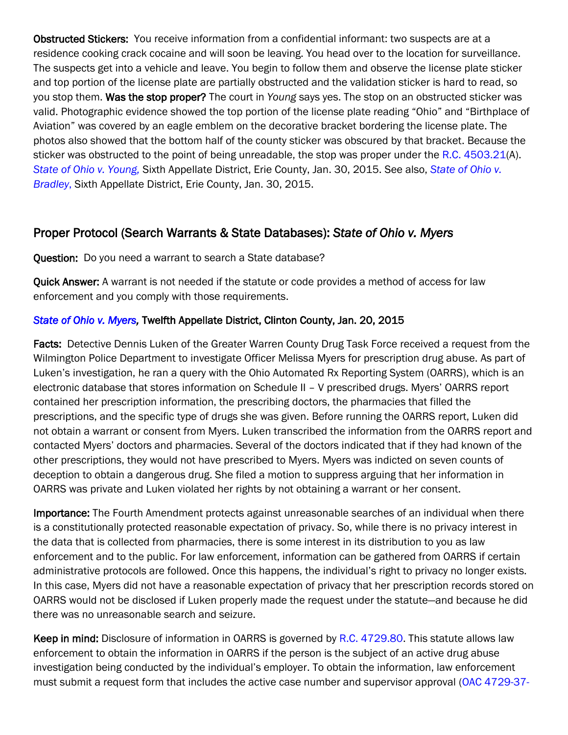Obstructed Stickers: You receive information from a confidential informant: two suspects are at a residence cooking crack cocaine and will soon be leaving. You head over to the location for surveillance. The suspects get into a vehicle and leave. You begin to follow them and observe the license plate sticker and top portion of the license plate are partially obstructed and the validation sticker is hard to read, so you stop them. Was the stop proper? The court in *Young* says yes. The stop on an obstructed sticker was valid. Photographic evidence showed the top portion of the license plate reading "Ohio" and "Birthplace of Aviation" was covered by an eagle emblem on the decorative bracket bordering the license plate. The photos also showed that the bottom half of the county sticker was obscured by that bracket. Because the sticker was obstructed to the point of being unreadable, the stop was proper under the [R.C. 4503.21\(](http://codes.ohio.gov/orc/4503.21v1)A). *[State of Ohio v. Young,](http://www.supremecourt.ohio.gov/rod/docs/pdf/6/2015/2015-Ohio-398.pdf)* Sixth Appellate District, Erie County, Jan. 30, 2015. See also, *[State of Ohio v.](http://www.supremecourt.ohio.gov/rod/docs/pdf/6/2015/2015-Ohio-395.pdf)  [Bradley](http://www.supremecourt.ohio.gov/rod/docs/pdf/6/2015/2015-Ohio-395.pdf)*, Sixth Appellate District, Erie County, Jan. 30, 2015.

# Proper Protocol (Search Warrants & State Databases): *State of Ohio v. Myers*

Question: Do you need a warrant to search a State database?

Quick Answer: A warrant is not needed if the statute or code provides a method of access for law enforcement and you comply with those requirements.

### *[State of Ohio v. Myers,](http://www.supremecourt.ohio.gov/rod/docs/pdf/12/2015/2015-Ohio-160.pdf)* Twelfth Appellate District, Clinton County, Jan. 20, 2015

Facts: Detective Dennis Luken of the Greater Warren County Drug Task Force received a request from the Wilmington Police Department to investigate Officer Melissa Myers for prescription drug abuse. As part of Luken's investigation, he ran a query with the Ohio Automated Rx Reporting System (OARRS), which is an electronic database that stores information on Schedule II – V prescribed drugs. Myers' OARRS report contained her prescription information, the prescribing doctors, the pharmacies that filled the prescriptions, and the specific type of drugs she was given. Before running the OARRS report, Luken did not obtain a warrant or consent from Myers. Luken transcribed the information from the OARRS report and contacted Myers' doctors and pharmacies. Several of the doctors indicated that if they had known of the other prescriptions, they would not have prescribed to Myers. Myers was indicted on seven counts of deception to obtain a dangerous drug. She filed a motion to suppress arguing that her information in OARRS was private and Luken violated her rights by not obtaining a warrant or her consent.

Importance: The Fourth Amendment protects against unreasonable searches of an individual when there is a constitutionally protected reasonable expectation of privacy. So, while there is no privacy interest in the data that is collected from pharmacies, there is some interest in its distribution to you as law enforcement and to the public. For law enforcement, information can be gathered from OARRS if certain administrative protocols are followed. Once this happens, the individual's right to privacy no longer exists. In this case, Myers did not have a reasonable expectation of privacy that her prescription records stored on OARRS would not be disclosed if Luken properly made the request under the statute—and because he did there was no unreasonable search and seizure.

Keep in mind: Disclosure of information in OARRS is governed by [R.C. 4729.80.](http://codes.ohio.gov/orc/4729.80) This statute allows law enforcement to obtain the information in OARRS if the person is the subject of an active drug abuse investigation being conducted by the individual's employer. To obtain the information, law enforcement must submit a request form that includes the active case number and supervisor approval [\(OAC 4729-37-](http://codes.ohio.gov/oac/4729-37-08)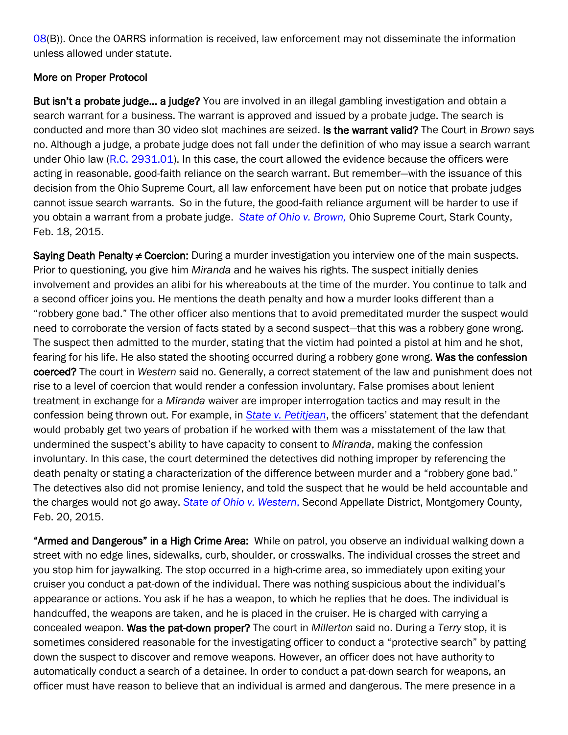[08\(](http://codes.ohio.gov/oac/4729-37-08)B)). Once the OARRS information is received, law enforcement may not disseminate the information unless allowed under statute.

### More on Proper Protocol

But isn't a probate judge... a judge? You are involved in an illegal gambling investigation and obtain a search warrant for a business. The warrant is approved and issued by a probate judge. The search is conducted and more than 30 video slot machines are seized. Is the warrant valid? The Court in *Brown* says no. Although a judge, a probate judge does not fall under the definition of who may issue a search warrant under Ohio law [\(R.C. 2931.01\)](http://codes.ohio.gov/orc/2931.01). In this case, the court allowed the evidence because the officers were acting in reasonable, good-faith reliance on the search warrant. But remember—with the issuance of this decision from the Ohio Supreme Court, all law enforcement have been put on notice that probate judges cannot issue search warrants. So in the future, the good-faith reliance argument will be harder to use if you obtain a warrant from a probate judge. *[State of Ohio v. Brown,](http://www.supremecourt.ohio.gov/rod/docs/pdf/0/2015/2015-Ohio-486.pdf)* Ohio Supreme Court, Stark County, Feb. 18, 2015.

Saying Death Penalty ≠ Coercion: During a murder investigation you interview one of the main suspects. Prior to questioning, you give him *Miranda* and he waives his rights. The suspect initially denies involvement and provides an alibi for his whereabouts at the time of the murder. You continue to talk and a second officer joins you. He mentions the death penalty and how a murder looks different than a ―robbery gone bad.‖ The other officer also mentions that to avoid premeditated murder the suspect would need to corroborate the version of facts stated by a second suspect—that this was a robbery gone wrong. The suspect then admitted to the murder, stating that the victim had pointed a pistol at him and he shot, fearing for his life. He also stated the shooting occurred during a robbery gone wrong. Was the confession coerced? The court in *Western* said no. Generally, a correct statement of the law and punishment does not rise to a level of coercion that would render a confession involuntary. False promises about lenient treatment in exchange for a *Miranda* waiver are improper interrogation tactics and may result in the confession being thrown out. For example, in *[State v. Petitjean](http://scholar.google.com/scholar_case?case=2075958429688172936&q=140+Ohio+App.3d+517&hl=en&as_sdt=4,36)*, the officers' statement that the defendant would probably get two years of probation if he worked with them was a misstatement of the law that undermined the suspect's ability to have capacity to consent to *Miranda*, making the confession involuntary. In this case, the court determined the detectives did nothing improper by referencing the death penalty or stating a characterization of the difference between murder and a "robbery gone bad." The detectives also did not promise leniency, and told the suspect that he would be held accountable and the charges would not go away. *[State of Ohio v. Western](http://www.supremecourt.ohio.gov/rod/docs/pdf/2/2015/2015-Ohio-627.pdf)*, Second Appellate District, Montgomery County, Feb. 20, 2015.

"Armed and Dangerous" in a High Crime Area: While on patrol, you observe an individual walking down a street with no edge lines, sidewalks, curb, shoulder, or crosswalks. The individual crosses the street and you stop him for jaywalking. The stop occurred in a high-crime area, so immediately upon exiting your cruiser you conduct a pat-down of the individual. There was nothing suspicious about the individual's appearance or actions. You ask if he has a weapon, to which he replies that he does. The individual is handcuffed, the weapons are taken, and he is placed in the cruiser. He is charged with carrying a concealed weapon. Was the pat-down proper? The court in *Millerton* said no. During a *Terry* stop, it is sometimes considered reasonable for the investigating officer to conduct a "protective search" by patting down the suspect to discover and remove weapons. However, an officer does not have authority to automatically conduct a search of a detainee. In order to conduct a pat-down search for weapons, an officer must have reason to believe that an individual is armed and dangerous. The mere presence in a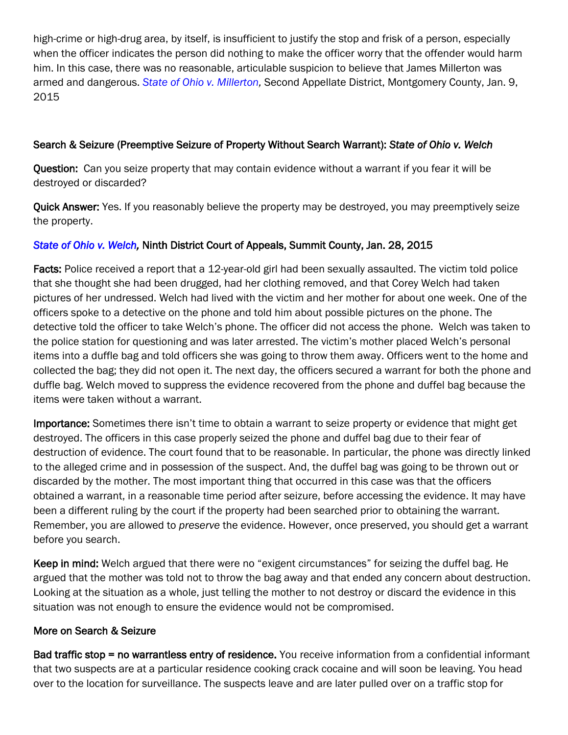high-crime or high-drug area, by itself, is insufficient to justify the stop and frisk of a person, especially when the officer indicates the person did nothing to make the officer worry that the offender would harm him. In this case, there was no reasonable, articulable suspicion to believe that James Millerton was armed and dangerous. *State of Ohio v. Millerton*, Second Appellate District, Montgomery County, Jan. 9, 2015

### Search & Seizure (Preemptive Seizure of Property Without Search Warrant): *State of Ohio v. Welch*

Question: Can you seize property that may contain evidence without a warrant if you fear it will be destroyed or discarded?

Quick Answer: Yes. If you reasonably believe the property may be destroyed, you may preemptively seize the property.

#### *[State of Ohio v. Welch,](http://www.supremecourt.ohio.gov/rod/docs/pdf/9/2015/2015-Ohio-284.pdf)* Ninth District Court of Appeals, Summit County, Jan. 28, 2015

Facts: Police received a report that a 12-year-old girl had been sexually assaulted. The victim told police that she thought she had been drugged, had her clothing removed, and that Corey Welch had taken pictures of her undressed. Welch had lived with the victim and her mother for about one week. One of the officers spoke to a detective on the phone and told him about possible pictures on the phone. The detective told the officer to take Welch's phone. The officer did not access the phone. Welch was taken to the police station for questioning and was later arrested. The victim's mother placed Welch's personal items into a duffle bag and told officers she was going to throw them away. Officers went to the home and collected the bag; they did not open it. The next day, the officers secured a warrant for both the phone and duffle bag. Welch moved to suppress the evidence recovered from the phone and duffel bag because the items were taken without a warrant.

Importance: Sometimes there isn't time to obtain a warrant to seize property or evidence that might get destroyed. The officers in this case properly seized the phone and duffel bag due to their fear of destruction of evidence. The court found that to be reasonable. In particular, the phone was directly linked to the alleged crime and in possession of the suspect. And, the duffel bag was going to be thrown out or discarded by the mother. The most important thing that occurred in this case was that the officers obtained a warrant, in a reasonable time period after seizure, before accessing the evidence. It may have been a different ruling by the court if the property had been searched prior to obtaining the warrant. Remember, you are allowed to *preserve* the evidence. However, once preserved, you should get a warrant before you search.

Keep in mind: Welch argued that there were no "exigent circumstances" for seizing the duffel bag. He argued that the mother was told not to throw the bag away and that ended any concern about destruction. Looking at the situation as a whole, just telling the mother to not destroy or discard the evidence in this situation was not enough to ensure the evidence would not be compromised.

#### More on Search & Seizure

Bad traffic stop = no warrantless entry of residence. You receive information from a confidential informant that two suspects are at a particular residence cooking crack cocaine and will soon be leaving. You head over to the location for surveillance. The suspects leave and are later pulled over on a traffic stop for